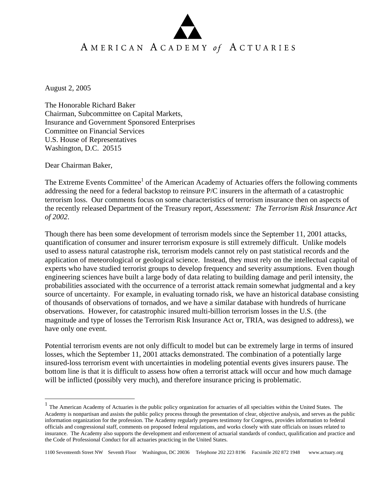## AMERICAN ACADEMY of ACTUARIES

August 2, 2005

The Honorable Richard Baker Chairman, Subcommittee on Capital Markets, Insurance and Government Sponsored Enterprises Committee on Financial Services U.S. House of Representatives Washington, D.C. 20515

Dear Chairman Baker,

 $\overline{a}$ 

The Extreme Events Committee<sup>1</sup> of the American Academy of Actuaries offers the following comments addressing the need for a federal backstop to reinsure P/C insurers in the aftermath of a catastrophic terrorism loss. Our comments focus on some characteristics of terrorism insurance then on aspects of the recently released Department of the Treasury report, *Assessment: The Terrorism Risk Insurance Act of 2002*.

Though there has been some development of terrorism models since the September 11, 2001 attacks, quantification of consumer and insurer terrorism exposure is still extremely difficult. Unlike models used to assess natural catastrophe risk, terrorism models cannot rely on past statistical records and the application of meteorological or geological science. Instead, they must rely on the intellectual capital of experts who have studied terrorist groups to develop frequency and severity assumptions. Even though engineering sciences have built a large body of data relating to building damage and peril intensity, the probabilities associated with the occurrence of a terrorist attack remain somewhat judgmental and a key source of uncertainty. For example, in evaluating tornado risk, we have an historical database consisting of thousands of observations of tornados, and we have a similar database with hundreds of hurricane observations. However, for catastrophic insured multi-billion terrorism losses in the U.S. (the magnitude and type of losses the Terrorism Risk Insurance Act or, TRIA, was designed to address), we have only one event.

Potential terrorism events are not only difficult to model but can be extremely large in terms of insured losses, which the September 11, 2001 attacks demonstrated. The combination of a potentially large insured-loss terrorism event with uncertainties in modeling potential events gives insurers pause. The bottom line is that it is difficult to assess how often a terrorist attack will occur and how much damage will be inflicted (possibly very much), and therefore insurance pricing is problematic.

 $<sup>1</sup>$  The American Academy of Actuaries is the public policy organization for actuaries of all specialties within the United States. The</sup> Academy is nonpartisan and assists the public policy process through the presentation of clear, objective analysis, and serves as the public information organization for the profession. The Academy regularly prepares testimony for Congress, provides information to federal officials and congressional staff, comments on proposed federal regulations, and works closely with state officials on issues related to insurance. The Academy also supports the development and enforcement of actuarial standards of conduct, qualification and practice and the Code of Professional Conduct for all actuaries practicing in the United States.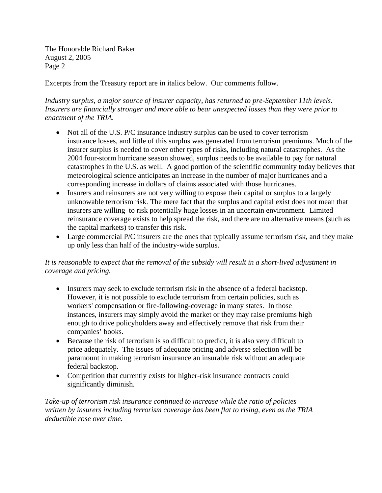The Honorable Richard Baker August 2, 2005 Page 2

Excerpts from the Treasury report are in italics below. Our comments follow.

## *Industry surplus, a major source of insurer capacity, has returned to pre-September 11th levels. Insurers are financially stronger and more able to bear unexpected losses than they were prior to enactment of the TRIA.*

- Not all of the U.S. P/C insurance industry surplus can be used to cover terrorism insurance losses, and little of this surplus was generated from terrorism premiums. Much of the insurer surplus is needed to cover other types of risks, including natural catastrophes. As the 2004 four-storm hurricane season showed, surplus needs to be available to pay for natural catastrophes in the U.S. as well. A good portion of the scientific community today believes that meteorological science anticipates an increase in the number of major hurricanes and a corresponding increase in dollars of claims associated with those hurricanes.
- Insurers and reinsurers are not very willing to expose their capital or surplus to a largely unknowable terrorism risk. The mere fact that the surplus and capital exist does not mean that insurers are willing to risk potentially huge losses in an uncertain environment. Limited reinsurance coverage exists to help spread the risk, and there are no alternative means (such as the capital markets) to transfer this risk.
- Large commercial P/C insurers are the ones that typically assume terrorism risk, and they make up only less than half of the industry-wide surplus.

## *It is reasonable to expect that the removal of the subsidy will result in a short-lived adjustment in coverage and pricing.*

- Insurers may seek to exclude terrorism risk in the absence of a federal backstop. However, it is not possible to exclude terrorism from certain policies, such as workers' compensation or fire-following-coverage in many states. In those instances, insurers may simply avoid the market or they may raise premiums high enough to drive policyholders away and effectively remove that risk from their companies' books.
- Because the risk of terrorism is so difficult to predict, it is also very difficult to price adequately. The issues of adequate pricing and adverse selection will be paramount in making terrorism insurance an insurable risk without an adequate federal backstop.
- Competition that currently exists for higher-risk insurance contracts could significantly diminish.

*Take-up of terrorism risk insurance continued to increase while the ratio of policies written by insurers including terrorism coverage has been flat to rising, even as the TRIA deductible rose over time.*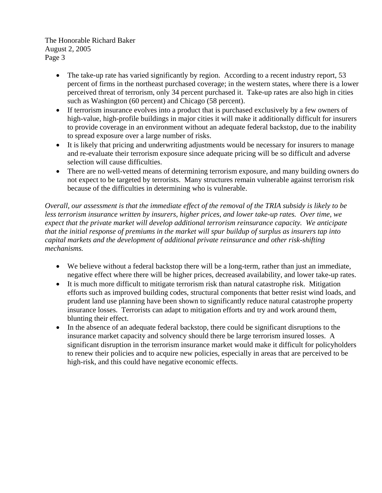The Honorable Richard Baker August 2, 2005 Page 3

- The take-up rate has varied significantly by region. According to a recent industry report, 53 percent of firms in the northeast purchased coverage; in the western states, where there is a lower perceived threat of terrorism, only 34 percent purchased it. Take-up rates are also high in cities such as Washington (60 percent) and Chicago (58 percent).
- If terrorism insurance evolves into a product that is purchased exclusively by a few owners of high-value, high-profile buildings in major cities it will make it additionally difficult for insurers to provide coverage in an environment without an adequate federal backstop, due to the inability to spread exposure over a large number of risks.
- It is likely that pricing and underwriting adjustments would be necessary for insurers to manage and re-evaluate their terrorism exposure since adequate pricing will be so difficult and adverse selection will cause difficulties.
- There are no well-vetted means of determining terrorism exposure, and many building owners do not expect to be targeted by terrorists. Many structures remain vulnerable against terrorism risk because of the difficulties in determining who is vulnerable.

*Overall, our assessment is that the immediate effect of the removal of the TRIA subsidy is likely to be less terrorism insurance written by insurers, higher prices, and lower take-up rates. Over time, we expect that the private market will develop additional terrorism reinsurance capacity. We anticipate that the initial response of premiums in the market will spur buildup of surplus as insurers tap into capital markets and the development of additional private reinsurance and other risk-shifting mechanisms.* 

- We believe without a federal backstop there will be a long-term, rather than just an immediate, negative effect where there will be higher prices, decreased availability, and lower take-up rates.
- It is much more difficult to mitigate terrorism risk than natural catastrophe risk. Mitigation efforts such as improved building codes, structural components that better resist wind loads, and prudent land use planning have been shown to significantly reduce natural catastrophe property insurance losses. Terrorists can adapt to mitigation efforts and try and work around them, blunting their effect.
- In the absence of an adequate federal backstop, there could be significant disruptions to the insurance market capacity and solvency should there be large terrorism insured losses. A significant disruption in the terrorism insurance market would make it difficult for policyholders to renew their policies and to acquire new policies, especially in areas that are perceived to be high-risk, and this could have negative economic effects.